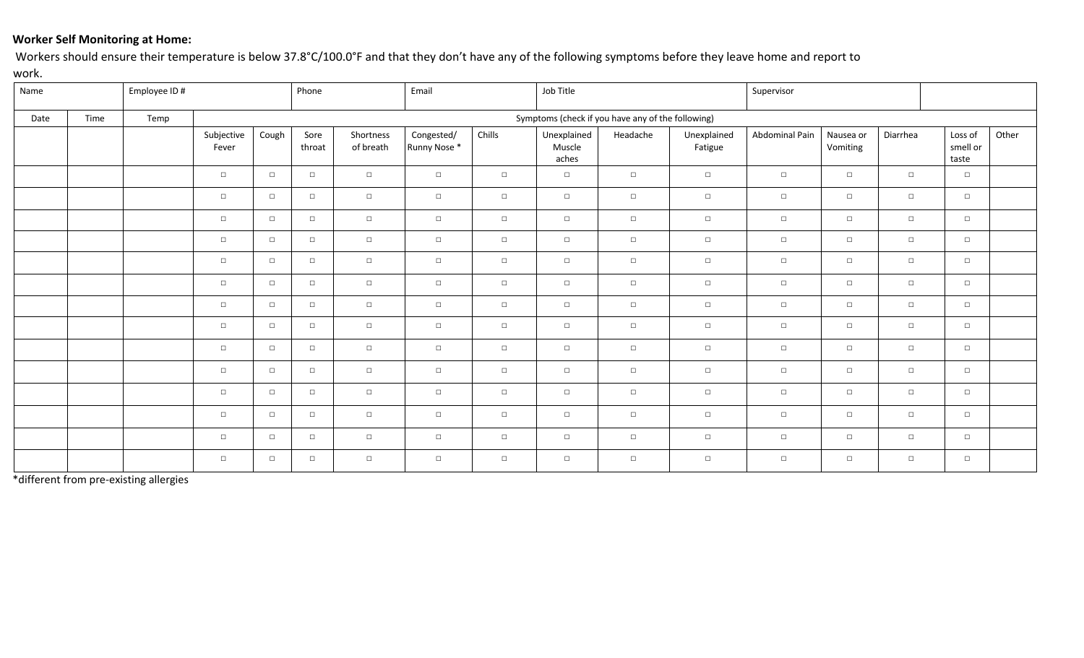## **Worker Self Monitoring at Home:**

Workers should ensure their temperature is below 37.8°C/100.0°F and that they don't have any of the following symptoms before they leave home and report to work.

| Name |      | Employee ID # |                                                   | Phone  |                | Email                  |                            | Job Title |                                |          | Supervisor             |                |                       |          |                              |       |
|------|------|---------------|---------------------------------------------------|--------|----------------|------------------------|----------------------------|-----------|--------------------------------|----------|------------------------|----------------|-----------------------|----------|------------------------------|-------|
| Date | Time | Temp          | Symptoms (check if you have any of the following) |        |                |                        |                            |           |                                |          |                        |                |                       |          |                              |       |
|      |      |               | Subjective<br>Fever                               | Cough  | Sore<br>throat | Shortness<br>of breath | Congested/<br>Runny Nose * | Chills    | Unexplained<br>Muscle<br>aches | Headache | Unexplained<br>Fatigue | Abdominal Pain | Nausea or<br>Vomiting | Diarrhea | Loss of<br>smell or<br>taste | Other |
|      |      |               | $\Box$                                            | $\Box$ | $\Box$         | $\Box$                 | $\Box$                     | $\Box$    | $\Box$                         | $\Box$   | $\Box$                 | $\Box$         | $\Box$                | $\Box$   | $\Box$                       |       |
|      |      |               | $\Box$                                            | $\Box$ | $\Box$         | $\Box$                 | $\Box$                     | $\Box$    | $\Box$                         | $\Box$   | $\Box$                 | $\Box$         | $\Box$                | $\Box$   | $\Box$                       |       |
|      |      |               | $\Box$                                            | $\Box$ | $\Box$         | $\Box$                 | $\Box$                     | $\Box$    | $\Box$                         | $\Box$   | $\Box$                 | $\Box$         | $\Box$                | $\Box$   | $\Box$                       |       |
|      |      |               | $\Box$                                            | $\Box$ | $\Box$         | $\Box$                 | $\Box$                     | $\Box$    | $\Box$                         | $\Box$   | $\Box$                 | $\Box$         | $\Box$                | $\Box$   | $\Box$                       |       |
|      |      |               | $\Box$                                            | $\Box$ | $\Box$         | $\Box$                 | $\Box$                     | $\Box$    | $\Box$                         | $\Box$   | $\Box$                 | $\Box$         | $\Box$                | $\Box$   | $\Box$                       |       |
|      |      |               | $\Box$                                            | $\Box$ | $\Box$         | $\Box$                 | $\Box$                     | $\Box$    | $\Box$                         | $\Box$   | $\Box$                 | $\Box$         | $\Box$                | $\Box$   | $\Box$                       |       |
|      |      |               | $\Box$                                            | $\Box$ | $\Box$         | $\Box$                 | $\Box$                     | $\Box$    | $\Box$                         | $\Box$   | $\Box$                 | $\Box$         | $\Box$                | $\Box$   | $\Box$                       |       |
|      |      |               | $\Box$                                            | $\Box$ | $\Box$         | $\Box$                 | $\Box$                     | $\Box$    | $\Box$                         | $\Box$   | $\Box$                 | $\Box$         | $\Box$                | $\Box$   | $\Box$                       |       |
|      |      |               | $\Box$                                            | $\Box$ | $\Box$         | $\Box$                 | $\Box$                     | $\Box$    | $\Box$                         | $\Box$   | $\Box$                 | $\Box$         | $\Box$                | $\Box$   | $\Box$                       |       |
|      |      |               | $\Box$                                            | $\Box$ | $\Box$         | $\Box$                 | $\Box$                     | $\Box$    | $\Box$                         | $\Box$   | $\Box$                 | $\Box$         | $\Box$                | $\Box$   | $\Box$                       |       |
|      |      |               | $\Box$                                            | $\Box$ | $\Box$         | $\Box$                 | $\Box$                     | $\Box$    | $\Box$                         | $\Box$   | $\Box$                 | $\Box$         | $\Box$                | $\Box$   | $\Box$                       |       |
|      |      |               | $\Box$                                            | $\Box$ | $\Box$         | $\Box$                 | $\Box$                     | $\Box$    | $\Box$                         | $\Box$   | $\Box$                 | $\Box$         | $\Box$                | $\Box$   | $\Box$                       |       |
|      |      |               | $\Box$                                            | $\Box$ | $\Box$         | $\Box$                 | $\Box$                     | $\Box$    | $\Box$                         | $\Box$   | $\Box$                 | $\Box$         | $\Box$                | $\Box$   | $\Box$                       |       |
|      |      |               | $\Box$                                            | $\Box$ | $\Box$         | $\Box$                 | $\Box$                     | $\Box$    | $\Box$                         | $\Box$   | $\Box$                 | $\Box$         | $\Box$                | $\Box$   | $\Box$                       |       |

\*different from pre-existing allergies